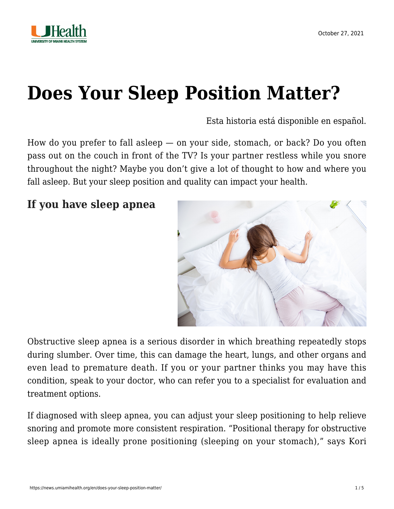

# **[Does Your Sleep Position Matter?](https://news.umiamihealth.org/en/does-your-sleep-position-matter/)**

[Esta historia está disponible en español.](https://news.umiamihealth.org/es/importa-su-posicion-para-dormir/)

How do you prefer to fall asleep — on your side, stomach, or back? Do you often pass out on the couch in front of the TV? Is your partner restless while you snore throughout the night? Maybe you don't give a lot of thought to how and where you fall asleep. But your sleep position and quality can impact your health.

**If you have sleep apnea**



Obstructive sleep apnea is a serious disorder in which breathing repeatedly stops during slumber. Over time, this can damage the heart, lungs, and other organs and even lead to premature death. If you or your partner thinks you may have this condition, speak to your doctor, who can refer you to a specialist for evaluation and treatment options.

If diagnosed with sleep apnea, you can adjust your sleep positioning to help relieve snoring and promote more consistent respiration. "Positional therapy for obstructive sleep apnea is ideally prone positioning (sleeping on your stomach)," says [Kori](https://doctors.umiamihealth.org/provider/Kori+Ascher/1095431?_ga=2.82942486.1251334885.1634487912-1940541531.1506175809)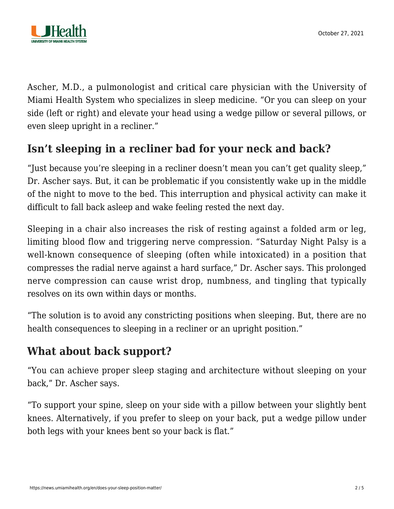

[Ascher, M.D.,](https://doctors.umiamihealth.org/provider/Kori+Ascher/1095431?_ga=2.82942486.1251334885.1634487912-1940541531.1506175809) a pulmonologist and critical care physician with the University of Miami Health System who specializes in sleep medicine. "Or you can sleep on your side (left or right) and elevate your head using a wedge pillow or several pillows, or even sleep upright in a recliner."

# **Isn't sleeping in a recliner bad for your neck and back?**

"Just because you're sleeping in a recliner doesn't mean you can't get quality sleep," Dr. Ascher says. But, it can be problematic if you consistently wake up in the middle of the night to move to the bed. This interruption and physical activity can make it difficult to fall back asleep and wake feeling rested the next day.

Sleeping in a chair also increases the risk of resting against a folded arm or leg, limiting blood flow and triggering nerve compression. "Saturday Night Palsy is a well-known consequence of sleeping (often while intoxicated) in a position that compresses the radial nerve against a hard surface," Dr. Ascher says. This prolonged nerve compression can cause wrist drop, numbness, and tingling that typically resolves on its own within days or months.

"The solution is to avoid any constricting positions when sleeping. But, there are no health consequences to sleeping in a recliner or an upright position."

## **What about back support?**

"You can achieve proper sleep staging and architecture without sleeping on your back," Dr. Ascher says.

"To support your spine, sleep on your side with a pillow between your slightly bent knees. Alternatively, if you prefer to sleep on your back, put a wedge pillow under both legs with your knees bent so your back is flat."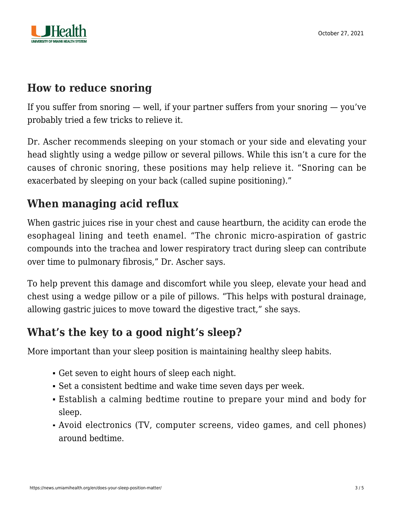

### **How to reduce snoring**

If you suffer from snoring  $-$  well, if your partner suffers from your snoring  $-$  you've probably tried a few tricks to relieve it.

Dr. Ascher recommends sleeping on your stomach or your side and elevating your head slightly using a wedge pillow or several pillows. While this isn't a cure for the causes of chronic snoring, these positions may help relieve it. "Snoring can be exacerbated by sleeping on your back (called supine positioning)."

# **When managing acid reflux**

When gastric juices rise in your chest and cause heartburn, the acidity can erode the esophageal lining and teeth enamel. "The chronic micro-aspiration of gastric compounds into the trachea and lower respiratory tract during sleep can contribute over time to pulmonary fibrosis," Dr. Ascher says.

To help prevent this damage and discomfort while you sleep, elevate your head and chest using a wedge pillow or a pile of pillows. "This helps with postural drainage, allowing gastric juices to move toward the digestive tract," she says.

### **What's the key to a good night's sleep?**

More important than your sleep position is maintaining healthy sleep habits.

- Get seven to eight hours of sleep each night.
- Set a consistent bedtime and wake time seven days per week.
- Establish a calming bedtime routine to prepare your mind and body for sleep.
- Avoid electronics (TV, computer screens, video games, and cell phones) around bedtime.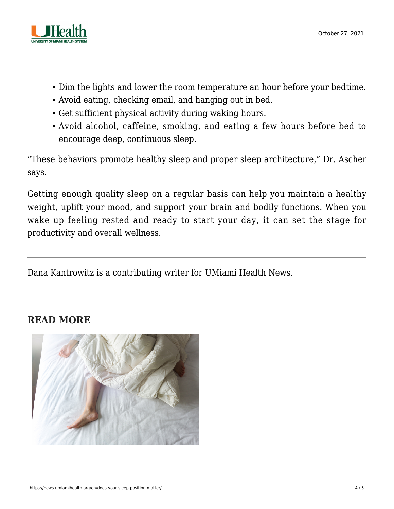

- Dim the lights and lower the room temperature an hour before your bedtime.
- Avoid eating, checking email, and hanging out in bed.
- Get sufficient physical activity during waking hours.
- Avoid alcohol, caffeine, smoking, and eating a few hours before bed to encourage deep, continuous sleep.

"These behaviors promote healthy sleep and proper sleep architecture," Dr. Ascher says.

Getting enough quality sleep on a regular basis can help you maintain a healthy weight, uplift your mood, and support your brain and bodily functions. When you wake up feeling rested and ready to start your day, it can set the stage for productivity and overall wellness.

Dana Kantrowitz is a contributing writer for UMiami Health News.

#### **READ MORE**